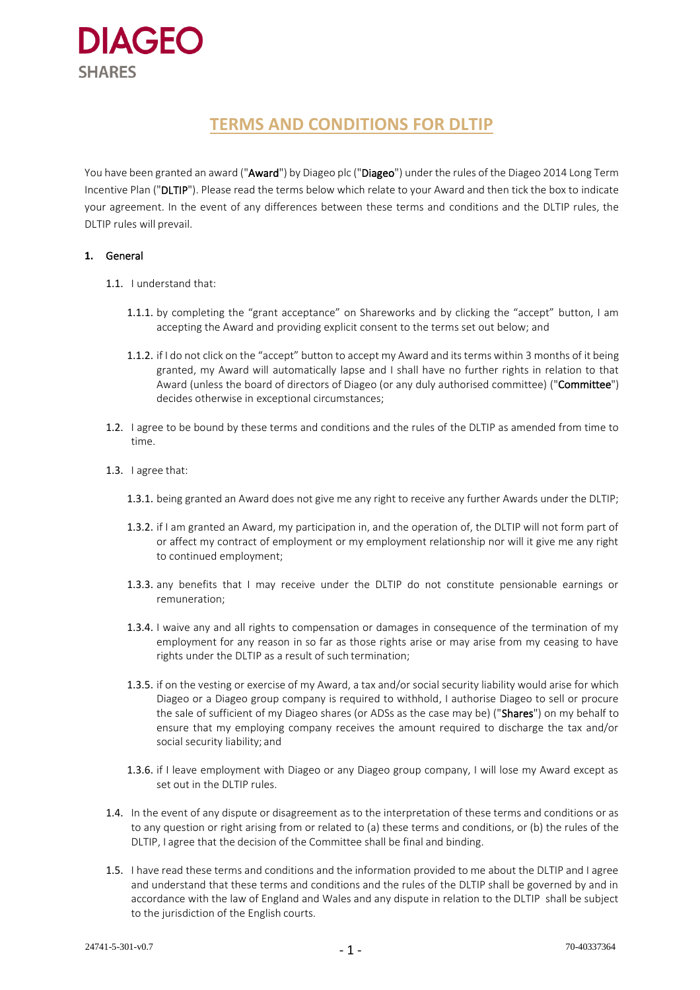

# **TERMS AND CONDITIONS FOR DLTIP**

You have been granted an award ("Award") by Diageo plc ("Diageo") under the rules of the Diageo 2014 Long Term Incentive Plan ("DLTIP"). Please read the terms below which relate to your Award and then tick the box to indicate your agreement. In the event of any differences between these terms and conditions and the DLTIP rules, the DLTIP rules will prevail.

# **1.** General

- 1.1. I understand that:
	- 1.1.1. by completing the "grant acceptance" on Shareworks and by clicking the "accept" button, I am accepting the Award and providing explicit consent to the terms set out below; and
	- 1.1.2. if I do not click on the "accept" button to accept my Award and its terms within 3 months of it being granted, my Award will automatically lapse and I shall have no further rights in relation to that Award (unless the board of directors of Diageo (or any duly authorised committee) ("Committee") decides otherwise in exceptional circumstances;
- 1.2. I agree to be bound by these terms and conditions and the rules of the DLTIP as amended from time to time.
- 1.3. I agree that:
	- 1.3.1. being granted an Award does not give me any right to receive any further Awards under the DLTIP;
	- 1.3.2. if I am granted an Award, my participation in, and the operation of, the DLTIP will not form part of or affect my contract of employment or my employment relationship nor will it give me any right to continued employment;
	- 1.3.3. any benefits that I may receive under the DLTIP do not constitute pensionable earnings or remuneration;
	- 1.3.4. I waive any and all rights to compensation or damages in consequence of the termination of my employment for any reason in so far as those rights arise or may arise from my ceasing to have rights under the DLTIP as a result of such termination;
	- 1.3.5. if on the vesting or exercise of my Award, a tax and/or social security liability would arise for which Diageo or a Diageo group company is required to withhold, I authorise Diageo to sell or procure the sale of sufficient of my Diageo shares (or ADSs as the case may be) ("Shares") on my behalf to ensure that my employing company receives the amount required to discharge the tax and/or social security liability; and
	- 1.3.6. if I leave employment with Diageo or any Diageo group company, I will lose my Award except as set out in the DLTIP rules.
- 1.4. In the event of any dispute or disagreement as to the interpretation of these terms and conditions or as to any question or right arising from or related to (a) these terms and conditions, or (b) the rules of the DLTIP, I agree that the decision of the Committee shall be final and binding.
- 1.5. I have read these terms and conditions and the information provided to me about the DLTIP and I agree and understand that these terms and conditions and the rules of the DLTIP shall be governed by and in accordance with the law of England and Wales and any dispute in relation to the DLTIP shall be subject to the jurisdiction of the English courts.